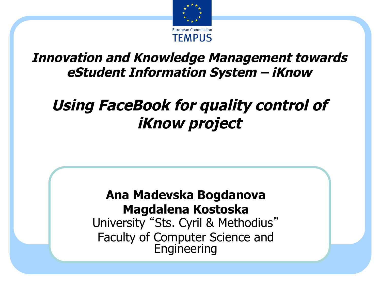

#### **Innovation and Knowledge Management towards eStudent Information System – iKnow**

#### **Using FaceBook for quality control of iKnow project**

#### **Ana Madevska Bogdanova Magdalena Kostoska**

University "Sts. Cyril & Methodius" Faculty of Computer Science and **Engineering**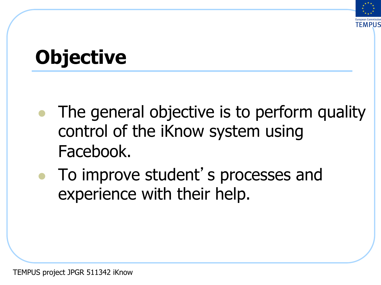

#### **Objective**

- The general objective is to perform quality control of the iKnow system using Facebook.
- To improve student's processes and experience with their help.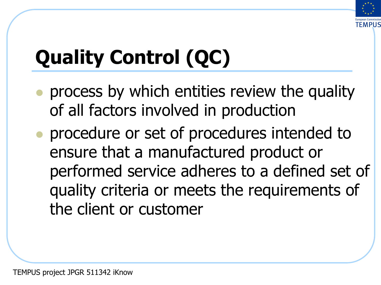

# **Quality Control (QC)**

- <sup>l</sup> process by which entities review the quality of all factors involved in production
- <sup>l</sup> procedure or set of procedures intended to ensure that a manufactured product or performed service adheres to a defined set of quality criteria or meets the requirements of the client or customer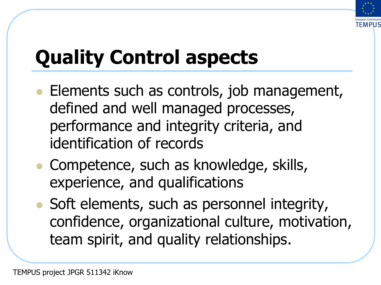

## **Quality Control aspects**

- Elements such as controls, job management, defined and well managed processes, performance and integrity criteria, and identification of records
- Competence, such as knowledge, skills, experience, and qualifications
- Soft elements, such as personnel integrity, confidence, organizational culture, motivation, team spirit, and quality relationships.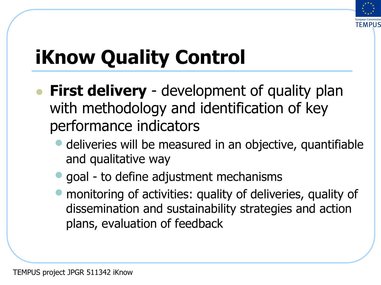

## **iKnow Quality Control**

- **First delivery** development of quality plan with methodology and identification of key performance indicators
	- deliveries will be measured in an objective, quantifiable and qualitative way
	- goal to define adjustment mechanisms
	- monitoring of activities: quality of deliveries, quality of dissemination and sustainability strategies and action plans, evaluation of feedback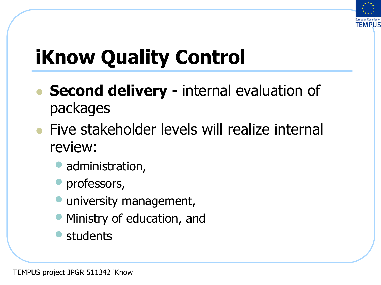

## **iKnow Quality Control**

- **Second delivery** internal evaluation of packages
- l Five stakeholder levels will realize internal review:
	- administration,
	- professors,
	- **university management,**
	- Ministry of education, and
	- **students**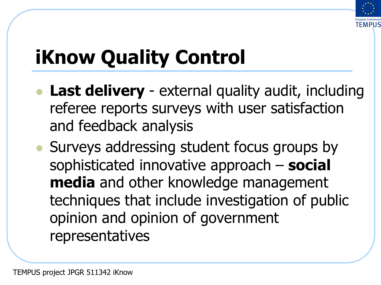

## **iKnow Quality Control**

- Last delivery external quality audit, including referee reports surveys with user satisfaction and feedback analysis
- Surveys addressing student focus groups by sophisticated innovative approach – **social media** and other knowledge management techniques that include investigation of public opinion and opinion of government representatives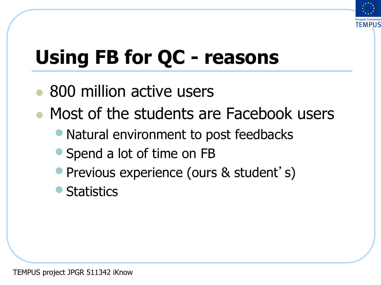

## **Using FB for QC - reasons**

- 800 million active users
- <sup>l</sup> Most of the students are Facebook users
	- Natural environment to post feedbacks
	- Spend a lot of time on FB
	- Previous experience (ours & student's)
	- **Statistics**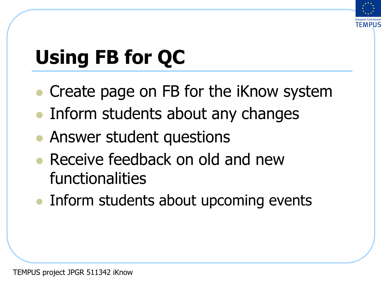

## **Using FB for QC**

- <sup>l</sup> Create page on FB for the iKnow system
- Inform students about any changes
- Answer student questions
- Receive feedback on old and new functionalities
- Inform students about upcoming events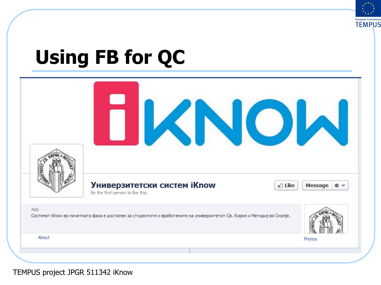

#### **Using FB for QC**

| <b>SHITE</b> |                                                                                                                         |              |
|--------------|-------------------------------------------------------------------------------------------------------------------------|--------------|
|              | Универзитетски систем iKnow<br>் Like<br>Be the first person to like this.                                              | Message<br>寮 |
| App          | Системот iКпоw во почетната фаза е достапен за студентите и вработените на универзитетот Св. Кирил и Методиј во Скопје. |              |
| About        |                                                                                                                         | Photos       |
|              |                                                                                                                         |              |

TEMPUS project JPGR 511342 iKnow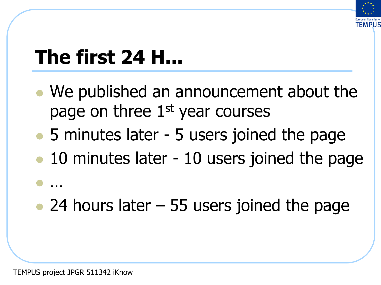

#### **The first 24 H...**

- We published an announcement about the page on three 1<sup>st</sup> year courses
- 5 minutes later 5 users joined the page
- 10 minutes later 10 users joined the page

#### • 24 hours later  $-55$  users joined the page

 $\bullet$  …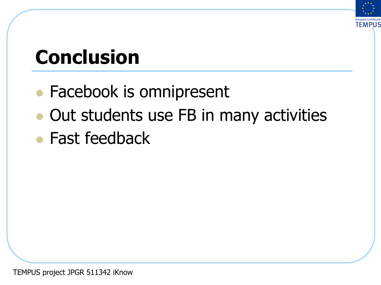

#### **Conclusion**

- Facebook is omnipresent
- Out students use FB in many activities
- $\bullet$  Fast feedback